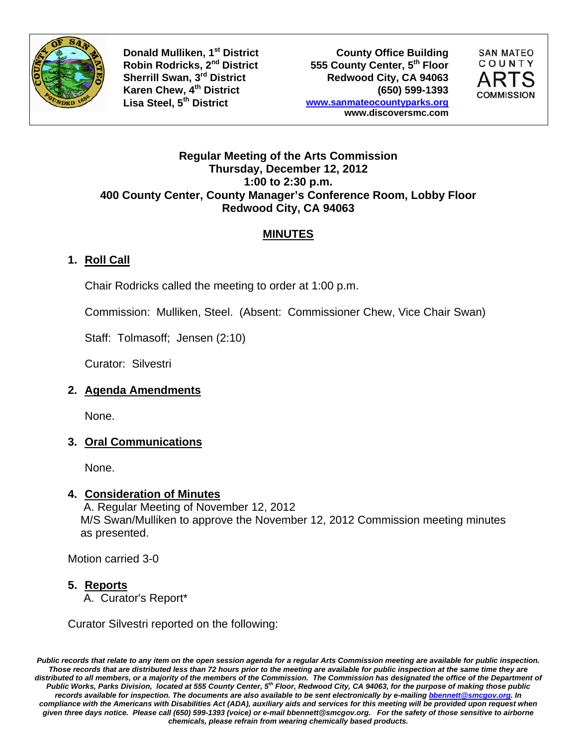



#### **Regular Meeting of the Arts Commission Thursday, December 12, 2012 1:00 to 2:30 p.m. 400 County Center, County Manager's Conference Room, Lobby Floor Redwood City, CA 94063**

# **MINUTES**

# **1. Roll Call**

Chair Rodricks called the meeting to order at 1:00 p.m.

Commission: Mulliken, Steel. (Absent: Commissioner Chew, Vice Chair Swan)

Staff: Tolmasoff; Jensen (2:10)

Curator: Silvestri

## **2. Agenda Amendments**

None.

## **3. Oral Communications**

None.

#### **4. Consideration of Minutes**

 A. Regular Meeting of November 12, 2012 M/S Swan/Mulliken to approve the November 12, 2012 Commission meeting minutes as presented.

Motion carried 3-0

## **5. Reports**

A. Curator's Report\*

Curator Silvestri reported on the following:

*Public records that relate to any item on the open session agenda for a regular Arts Commission meeting are available for public inspection. Those records that are distributed less than 72 hours prior to the meeting are available for public inspection at the same time they are*  distributed to all members, or a majority of the members of the Commission. The Commission has designated the office of the Department of *Public Works, Parks Division, located at 555 County Center, 5th Floor, Redwood City, CA 94063, for the purpose of making those public records available for inspection. The documents are also available to be sent electronically by e-mailing bbennett@smcgov.org. In compliance with the Americans with Disabilities Act (ADA), auxiliary aids and services for this meeting will be provided upon request when given three days notice. Please call (650) 599-1393 (voice) or e-mail bbennett@smcgov.org. For the safety of those sensitive to airborne chemicals, please refrain from wearing chemically based products.*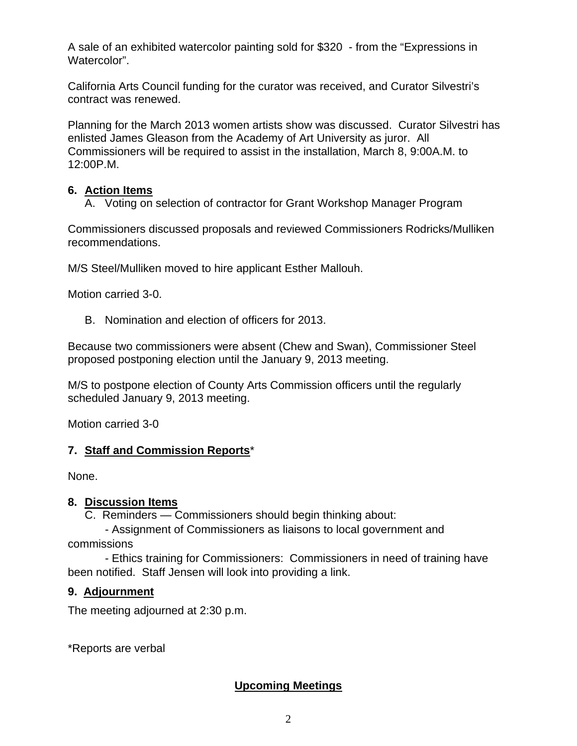A sale of an exhibited watercolor painting sold for \$320 - from the "Expressions in Watercolor".

California Arts Council funding for the curator was received, and Curator Silvestri's contract was renewed.

Planning for the March 2013 women artists show was discussed. Curator Silvestri has enlisted James Gleason from the Academy of Art University as juror. All Commissioners will be required to assist in the installation, March 8, 9:00A.M. to 12:00P.M.

#### **6. Action Items**

A. Voting on selection of contractor for Grant Workshop Manager Program

Commissioners discussed proposals and reviewed Commissioners Rodricks/Mulliken recommendations.

M/S Steel/Mulliken moved to hire applicant Esther Mallouh.

Motion carried 3-0.

B. Nomination and election of officers for 2013.

Because two commissioners were absent (Chew and Swan), Commissioner Steel proposed postponing election until the January 9, 2013 meeting.

M/S to postpone election of County Arts Commission officers until the regularly scheduled January 9, 2013 meeting.

Motion carried 3-0

## **7. Staff and Commission Reports**\*

None.

#### **8. Discussion Items**

C. Reminders — Commissioners should begin thinking about:

 - Assignment of Commissioners as liaisons to local government and commissions

 - Ethics training for Commissioners: Commissioners in need of training have been notified. Staff Jensen will look into providing a link.

## **9. Adjournment**

The meeting adjourned at 2:30 p.m.

\*Reports are verbal

## **Upcoming Meetings**